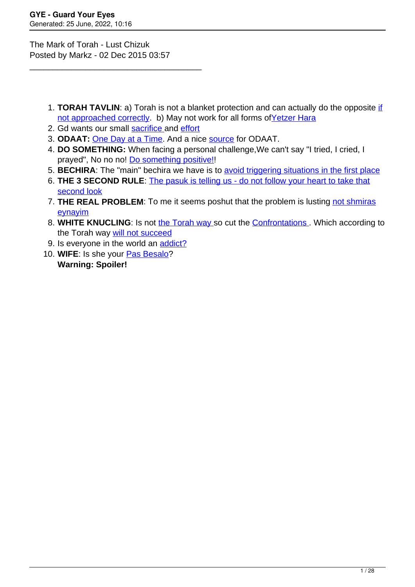The Mark of Torah - Lust Chizuk Posted by Markz - 02 Dec 2015 03:57

\_\_\_\_\_\_\_\_\_\_\_\_\_\_\_\_\_\_\_\_\_\_\_\_\_\_\_\_\_\_\_\_\_\_\_\_\_

- 1. **TORAH TAVLIN**: a) Torah is not a blanket protection and can actually do the opposite [if](https://guardyoureyes.com/forum/13-BEIS-HAMEDRASH/270101-The-Mark-of-Torah---Lust-Chizuk?limit=15&start=75#275319) [not approached correctly.](https://guardyoureyes.com/forum/13-BEIS-HAMEDRASH/270101-The-Mark-of-Torah---Lust-Chizuk?limit=15&start=75#275319) b) May not work for all forms of Yetzer Hara
- 2. Gd wants our small [sacrifice a](https://guardyoureyes.com/forum/13-BEIS-HAMEDRASH/270101-The-Mark-of-Torah---Lust-Chizuk#270332)nd [effort](https://guardyoureyes.com/forum/13-BEIS-HAMEDRASH/270101-The-Mark-of-Torah---Lust-Chizuk#270211)
- 3. **ODAAT:** [One Day at a Time](https://guardyoureyes.com/forum/13-BEIS-HAMEDRASH/270101-The-Mark-of-Torah---Lust-Chizuk?limit=15&start=15#270561). And a nice [source](https://guardyoureyes.com/forum/13-BEIS-HAMEDRASH/270101-The-Mark-of-Torah---Lust-Chizuk?limit=15&start=30#271630) for ODAAT.
- 4. **DO SOMETHING:** When facing a personal challenge,We can't say "I tried, I cried, I prayed", No no no! [Do something positive!!](https://guardyoureyes.com/forum/13-BEIS-HAMEDRASH/270101-The-Mark-of-Torah---Lust-Chizuk?limit=15&start=75#274857)
- 5. **BECHIRA**: The "main" bechira we have is to [avoid triggering situations in the first place](https://guardyoureyes.com/forum/13-BEIS-HAMEDRASH/270101-The-Mark-of-Torah---Lust-Chizuk?limit=15&start=90#281539)
- 6. **THE 3 SECOND RULE**: [The pasuk is telling us do not follow your heart to take that](https://guardyoureyes.com/forum/13-BEIS-HAMEDRASH/270101-The-Mark-of-Torah---Lust-Chizuk?limit=15&start=90#282481) [second look](https://guardyoureyes.com/forum/13-BEIS-HAMEDRASH/270101-The-Mark-of-Torah---Lust-Chizuk?limit=15&start=90#282481)
- 7. **THE REAL PROBLEM**: To me it seems poshut that the problem is lusting [not shmiras](https://guardyoureyes.com/forum/13-BEIS-HAMEDRASH/270101-The-Mark-of-Torah---Lust-Chizuk?limit=15&start=120#287052) [eynayim](https://guardyoureyes.com/forum/13-BEIS-HAMEDRASH/270101-The-Mark-of-Torah---Lust-Chizuk?limit=15&start=120#287052)
- 8. **WHITE KNUCLING**: Is not [the Torah way s](https://guardyoureyes.com/forum/13-BEIS-HAMEDRASH/270101-The-Mark-of-Torah---Lust-Chizuk?limit=15&start=15#270922)o cut the [Confrontations](https://guardyoureyes.com/forum/13-BEIS-HAMEDRASH/270101-The-Mark-of-Torah---Lust-Chizuk?limit=15&start=15#271167) . Which according to the Torah way [will not succeed](https://guardyoureyes.com/forum/13-BEIS-HAMEDRASH/270101-The-Mark-of-Torah---Lust-Chizuk?limit=15&start=120#287138)
- 9. Is everyone in the world an [addict?](https://guardyoureyes.com/forum/13-BEIS-HAMEDRASH/270101-The-Mark-of-Torah---Lust-Chizuk?limit=15&start=15#271472)
- 10. **WIFE**: Is she your [Pas Besalo?](https://guardyoureyes.com/forum/13-BEIS-HAMEDRASH/270101-The-Mark-of-Torah---Lust-Chizuk?limit=15&start=90#280120) **Warning: Spoiler!**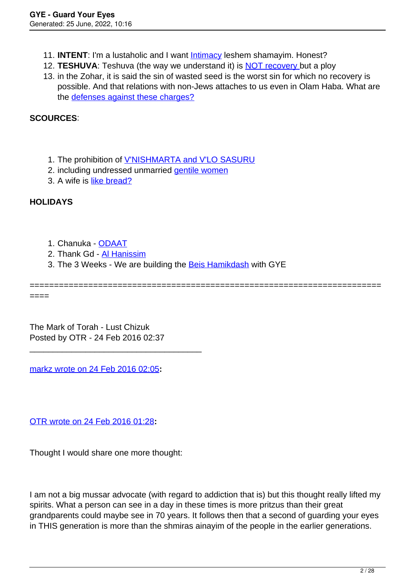- 11. **INTENT**: I'm a lustaholic and I want [Intimacy](https://guardyoureyes.com/forum/13-BEIS-HAMEDRASH/270101-The-Mark-of-Torah---Lust-Chizuk?limit=15&start=30#271823) leshem shamayim. Honest?
- 12. **TESHUVA**: Teshuva (the way we understand it) is [NOT recovery b](https://guardyoureyes.com/forum/13-BEIS-HAMEDRASH/270101-The-Mark-of-Torah---Lust-Chizuk?limit=15&start=30#273192)ut a ploy
- 13. in the Zohar, it is said the sin of wasted seed is the worst sin for which no recovery is possible. And that relations with non-Jews attaches to us even in Olam Haba. What are the [defenses against these charges?](https://guardyoureyes.com/forum/13-BEIS-HAMEDRASH/270101-The-Mark-of-Torah---Lust-Chizuk?limit=15&start=45#273465)

**SCOURCES**:

- 1. The prohibition of **[V'NISHMARTA and V'LO SASURU](https://guardyoureyes.com/forum/13-BEIS-HAMEDRASH/270101-The-Mark-of-Torah---Lust-Chizuk?limit=15&start=30#271968)**
- 2. including undressed unmarried *[gentile women](https://guardyoureyes.com/forum/13-BEIS-HAMEDRASH/270101-The-Mark-of-Torah---Lust-Chizuk?limit=15&start=30#273464)*
- 3. A wife is [like bread?](https://guardyoureyes.com/forum/13-BEIS-HAMEDRASH/270101-The-Mark-of-Torah---Lust-Chizuk?limit=15&start=60#274595)

# **HOLIDAYS**

- 1. Chanuka - [ODAAT](https://guardyoureyes.com/forum/13-BEIS-HAMEDRASH/270101-The-Mark-of-Torah---Lust-Chizuk?limit=15&start=15#270561)
- 2. Thank Gd [Al Hanissim](https://guardyoureyes.com/forum/13-BEIS-HAMEDRASH/270101-The-Mark-of-Torah---Lust-Chizuk?limit=15&start=15#270922)
- 3. The 3 Weeks We are building the [Beis Hamikdash](https://guardyoureyes.com/forum/13-BEIS-HAMEDRASH/270101-The-Mark-of-Torah---Lust-Chizuk?limit=15&start=135#293350) with GYE

======================================================================== ====

The Mark of Torah - Lust Chizuk Posted by OTR - 24 Feb 2016 02:37

\_\_\_\_\_\_\_\_\_\_\_\_\_\_\_\_\_\_\_\_\_\_\_\_\_\_\_\_\_\_\_\_\_\_\_\_\_

[markz wrote on 24 Feb 2016 02:05](/forum/id-278993)**:**

[OTR wrote on 24 Feb 2016 01:28](/forum/id-278987)**:**

Thought I would share one more thought:

I am not a big mussar advocate (with regard to addiction that is) but this thought really lifted my spirits. What a person can see in a day in these times is more pritzus than their great grandparents could maybe see in 70 years. It follows then that a second of guarding your eyes in THIS generation is more than the shmiras ainayim of the people in the earlier generations.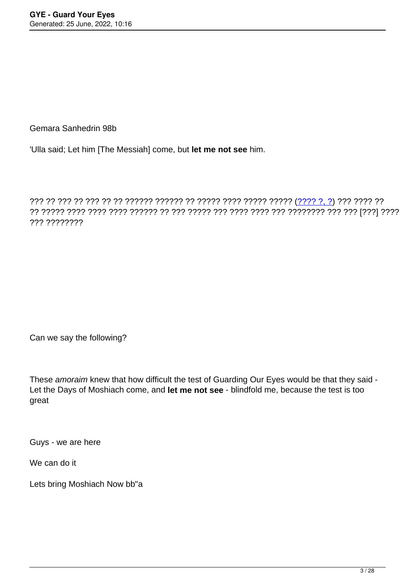Gemara Sanhedrin 98b

'Ulla said; Let him [The Messiah] come, but **let me not see** him.

??? ?? ??? ?? ??? ?? ?? ?????? ?????? ?? ????? ???? ????? ????? ([???? ?, ?\)](https://he.wikisource.org/wiki/%D7%A7%D7%98%D7%92%D7%95%D7%A8%D7%99%D7%94:%D7%9E%D7%99%D7%9B%D7%94_%D7%94_%D7%91) ??? ???? ?? ?? ????? ???? ???? ???? ?????? ?? ??? ????? ??? ???? ???? ??? ???????? ??? ??? [???] ???? ??? ????????

Can we say the following?

These amoraim knew that how difficult the test of Guarding Our Eyes would be that they said -Let the Days of Moshiach come, and **let me not see** - blindfold me, because the test is too great

Guys - we are here

We can do it

Lets bring Moshiach Now bb"a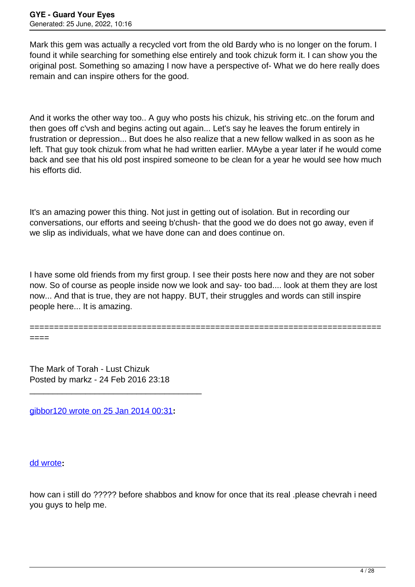Mark this gem was actually a recycled vort from the old Bardy who is no longer on the forum. I found it while searching for something else entirely and took chizuk form it. I can show you the original post. Something so amazing I now have a perspective of- What we do here really does remain and can inspire others for the good.

And it works the other way too.. A guy who posts his chizuk, his striving etc..on the forum and then goes off c'vsh and begins acting out again... Let's say he leaves the forum entirely in frustration or depression... But does he also realize that a new fellow walked in as soon as he left. That guy took chizuk from what he had written earlier. MAybe a year later if he would come back and see that his old post inspired someone to be clean for a year he would see how much his efforts did.

It's an amazing power this thing. Not just in getting out of isolation. But in recording our conversations, our efforts and seeing b'chush- that the good we do does not go away, even if we slip as individuals, what we have done can and does continue on.

I have some old friends from my first group. I see their posts here now and they are not sober now. So of course as people inside now we look and say- too bad.... look at them they are lost now... And that is true, they are not happy. BUT, their struggles and words can still inspire people here... It is amazing.

========================================================================

The Mark of Torah - Lust Chizuk Posted by markz - 24 Feb 2016 23:18

[gibbor120 wrote on 25 Jan 2014 00:31](/forum/id-226918)**:**

\_\_\_\_\_\_\_\_\_\_\_\_\_\_\_\_\_\_\_\_\_\_\_\_\_\_\_\_\_\_\_\_\_\_\_\_\_

[dd wrote](/forum/id-226881)**:**

====

how can i still do ????? before shabbos and know for once that its real .please chevrah i need you guys to help me.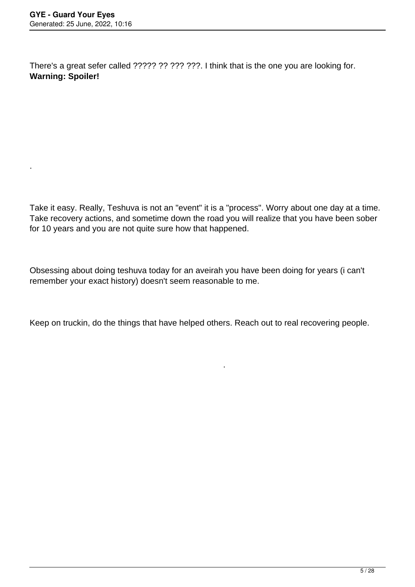.

There's a great sefer called ????? ?? ??? ???. I think that is the one you are looking for. **Warning: Spoiler!**

Take it easy. Really, Teshuva is not an "event" it is a "process". Worry about one day at a time. Take recovery actions, and sometime down the road you will realize that you have been sober for 10 years and you are not quite sure how that happened.

Obsessing about doing teshuva today for an aveirah you have been doing for years (i can't remember your exact history) doesn't seem reasonable to me.

Keep on truckin, do the things that have helped others. Reach out to real recovering people.

.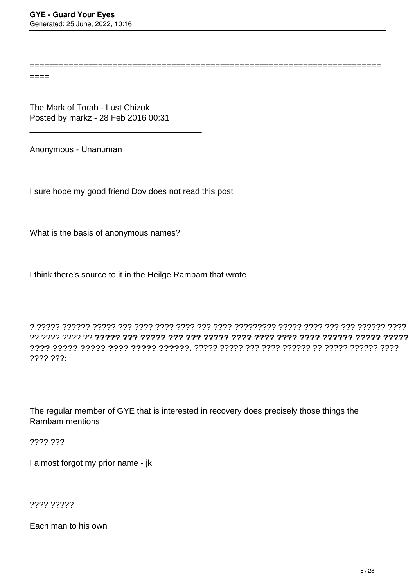======================================================================== ====

The Mark of Torah - Lust Chizuk Posted by markz - 28 Feb 2016 00:31

\_\_\_\_\_\_\_\_\_\_\_\_\_\_\_\_\_\_\_\_\_\_\_\_\_\_\_\_\_\_\_\_\_\_\_\_\_

Anonymous - Unanuman

I sure hope my good friend Dov does not read this post

What is the basis of anonymous names?

I think there's source to it in the Heilge Rambam that wrote

? ????? ?????? ????? ??? ???? ???? ???? ??? ???? ????????? ????? ???? ??? ??? ?????? ???? ?? ???? ???? ?? **????? ??? ????? ??? ??? ????? ???? ???? ???? ???? ?????? ????? ????? ???? ????? ????? ???? ????? ??????.** ????? ????? ??? ???? ?????? ?? ????? ?????? ???? ???? ???:

The regular member of GYE that is interested in recovery does precisely those things the Rambam mentions

???? ???

I almost forgot my prior name - jk

???? ?????

Each man to his own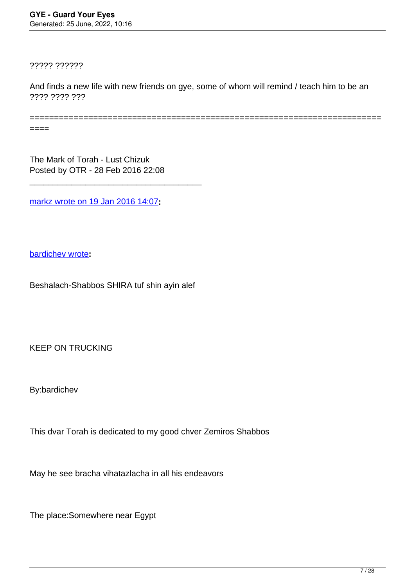????? ??????

 $=$ ==== $=$ === $=$ == $=$ = $=$ = $=$ 

And finds a new life with new friends on gye, some of whom will remind / teach him to be an ???? ???? ???

 $====$ 

The Mark of Torah - Lust Chizuk Posted by OTR - 28 Feb 2016 22:08

\_\_\_\_\_\_\_\_\_\_\_\_\_\_\_\_\_\_\_\_\_\_\_\_\_\_\_\_\_\_\_\_\_\_\_\_\_

[markz wrote on 19 Jan 2016 14:07](/forum/id-274857)**:**

[bardichev wrote](/forum/id-93262)**:**

Beshalach-Shabbos SHIRA tuf shin ayin alef

KEEP ON TRUCKING

By:bardichev

This dvar Torah is dedicated to my good chver Zemiros Shabbos

May he see bracha vihatazlacha in all his endeavors

The place:Somewhere near Egypt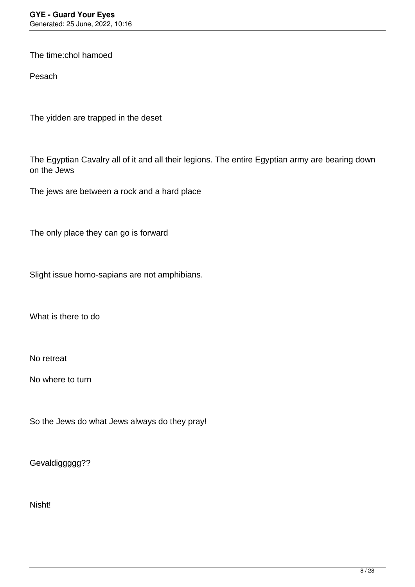The time:chol hamoed

Pesach

The yidden are trapped in the deset

The Egyptian Cavalry all of it and all their legions. The entire Egyptian army are bearing down on the Jews

The jews are between a rock and a hard place

The only place they can go is forward

Slight issue homo-sapians are not amphibians.

What is there to do

No retreat

No where to turn

So the Jews do what Jews always do they pray!

Gevaldiggggg??

Nisht!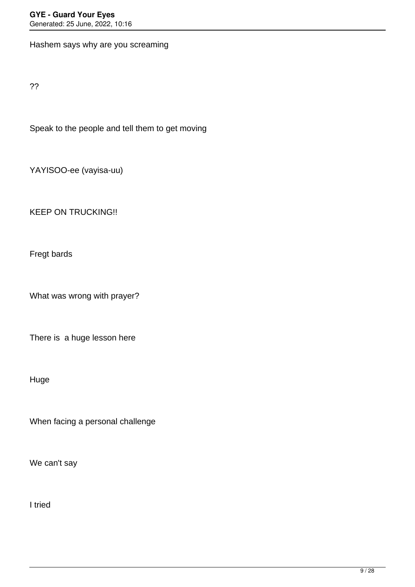Hashem says why are you screaming

??

Speak to the people and tell them to get moving

YAYISOO-ee (vayisa-uu)

KEEP ON TRUCKING!!

Fregt bards

What was wrong with prayer?

There is a huge lesson here

Huge

When facing a personal challenge

We can't say

I tried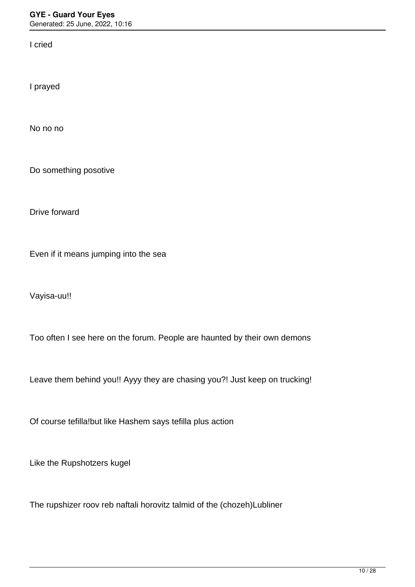I cried

I prayed

No no no

Do something posotive

Drive forward

Even if it means jumping into the sea

Vayisa-uu!!

Too often I see here on the forum. People are haunted by their own demons

Leave them behind you!! Ayyy they are chasing you?! Just keep on trucking!

Of course tefilla!but like Hashem says tefilla plus action

Like the Rupshotzers kugel

The rupshizer roov reb naftali horovitz talmid of the (chozeh)Lubliner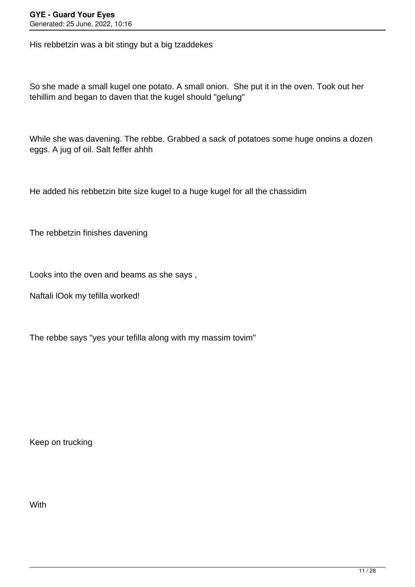His rebbetzin was a bit stingy but a big tzaddekes

So she made a small kugel one potato. A small onion. She put it in the oven. Took out her tehillim and began to daven that the kugel should "gelung"

While she was davening. The rebbe. Grabbed a sack of potatoes some huge onoins a dozen eggs. A jug of oil. Salt feffer ahhh

He added his rebbetzin bite size kugel to a huge kugel for all the chassidim

The rebbetzin finishes davening

Looks into the oven and beams as she says ,

Naftali lOok my tefilla worked!

The rebbe says "yes your tefilla along with my massim tovim"

Keep on trucking

With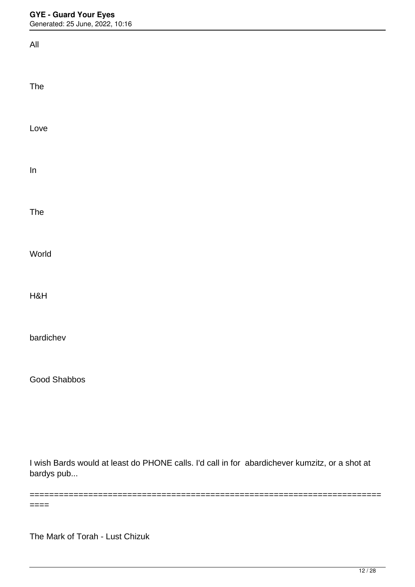## **GYE - Guard Your Eyes**

Generated: 25 June, 2022, 10:16

| All                                                                                           |  |
|-----------------------------------------------------------------------------------------------|--|
| The                                                                                           |  |
| Love                                                                                          |  |
| $\ln$                                                                                         |  |
| The                                                                                           |  |
| World                                                                                         |  |
| H&H                                                                                           |  |
| bardichev                                                                                     |  |
| <b>Good Shabbos</b>                                                                           |  |
|                                                                                               |  |
| Luigh Borde would at least de DUONE colle. I'd coll in for phordishover kumpity, or a shot of |  |

I wish Bards would at least do PHONE calls. I'd call in for abardichever kumzitz, or a shot at bardys pub...

========================================================================

====

The Mark of Torah - Lust Chizuk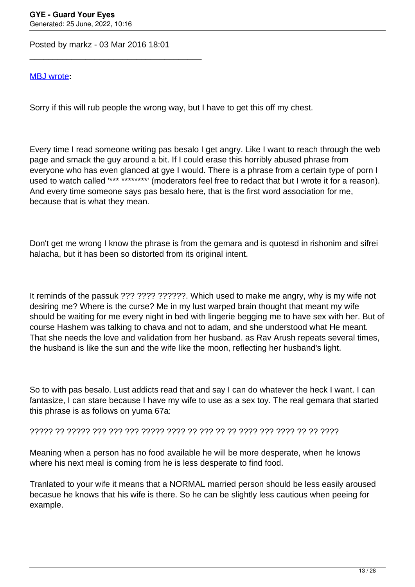Posted by markz - 03 Mar 2016 18:01

\_\_\_\_\_\_\_\_\_\_\_\_\_\_\_\_\_\_\_\_\_\_\_\_\_\_\_\_\_\_\_\_\_\_\_\_\_

### [MBJ wrote](/forum/id-264724)**:**

Sorry if this will rub people the wrong way, but I have to get this off my chest.

Every time I read someone writing pas besalo I get angry. Like I want to reach through the web page and smack the guy around a bit. If I could erase this horribly abused phrase from everyone who has even glanced at gye I would. There is a phrase from a certain type of porn I used to watch called '\*\*\* \*\*\*\*\*\*\*\*' (moderators feel free to redact that but I wrote it for a reason). And every time someone says pas besalo here, that is the first word association for me, because that is what they mean.

Don't get me wrong I know the phrase is from the gemara and is quotesd in rishonim and sifrei halacha, but it has been so distorted from its original intent.

It reminds of the passuk ??? ???? ??????. Which used to make me angry, why is my wife not desiring me? Where is the curse? Me in my lust warped brain thought that meant my wife should be waiting for me every night in bed with lingerie begging me to have sex with her. But of course Hashem was talking to chava and not to adam, and she understood what He meant. That she needs the love and validation from her husband. as Rav Arush repeats several times, the husband is like the sun and the wife like the moon, reflecting her husband's light.

So to with pas besalo. Lust addicts read that and say I can do whatever the heck I want. I can fantasize, I can stare because I have my wife to use as a sex toy. The real gemara that started this phrase is as follows on yuma 67a:

????? ?? ????? ??? ??? ??? ????? ???? ?? ??? ?? ?? ???? ??? ???? ?? ?? ????

Meaning when a person has no food available he will be more desperate, when he knows where his next meal is coming from he is less desperate to find food.

Tranlated to your wife it means that a NORMAL married person should be less easily aroused becasue he knows that his wife is there. So he can be slightly less cautious when peeing for example.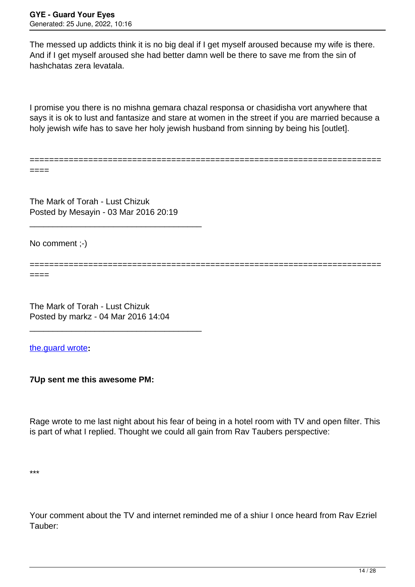The messed up addicts think it is no big deal if I get myself aroused because my wife is there. And if I get myself aroused she had better damn well be there to save me from the sin of hashchatas zera levatala.

I promise you there is no mishna gemara chazal responsa or chasidisha vort anywhere that says it is ok to lust and fantasize and stare at women in the street if you are married because a holy jewish wife has to save her holy jewish husband from sinning by being his [outlet].

========================================================================

====

====

The Mark of Torah - Lust Chizuk Posted by Mesayin - 03 Mar 2016 20:19

\_\_\_\_\_\_\_\_\_\_\_\_\_\_\_\_\_\_\_\_\_\_\_\_\_\_\_\_\_\_\_\_\_\_\_\_\_

No comment ;-)

========================================================================

The Mark of Torah - Lust Chizuk Posted by markz - 04 Mar 2016 14:04

\_\_\_\_\_\_\_\_\_\_\_\_\_\_\_\_\_\_\_\_\_\_\_\_\_\_\_\_\_\_\_\_\_\_\_\_\_

[the.guard wrote](/forum/id-47042)**:**

**7Up sent me this awesome PM:**

Rage wrote to me last night about his fear of being in a hotel room with TV and open filter. This is part of what I replied. Thought we could all gain from Rav Taubers perspective:

Your comment about the TV and internet reminded me of a shiur I once heard from Rav Ezriel Tauber: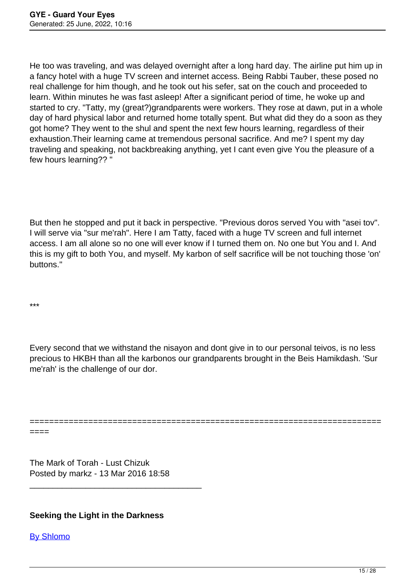He too was traveling, and was delayed overnight after a long hard day. The airline put him up in a fancy hotel with a huge TV screen and internet access. Being Rabbi Tauber, these posed no real challenge for him though, and he took out his sefer, sat on the couch and proceeded to learn. Within minutes he was fast asleep! After a significant period of time, he woke up and started to cry. "Tatty, my (great?)grandparents were workers. They rose at dawn, put in a whole day of hard physical labor and returned home totally spent. But what did they do a soon as they got home? They went to the shul and spent the next few hours learning, regardless of their exhaustion.Their learning came at tremendous personal sacrifice. And me? I spent my day traveling and speaking, not backbreaking anything, yet I cant even give You the pleasure of a few hours learning?? "

But then he stopped and put it back in perspective. "Previous doros served You with "asei tov". I will serve via "sur me'rah". Here I am Tatty, faced with a huge TV screen and full internet access. I am all alone so no one will ever know if I turned them on. No one but You and I. And this is my gift to both You, and myself. My karbon of self sacrifice will be not touching those 'on' buttons."

\*\*\*

Every second that we withstand the nisayon and dont give in to our personal teivos, is no less precious to HKBH than all the karbonos our grandparents brought in the Beis Hamikdash. 'Sur me'rah' is the challenge of our dor.

======================================================================== ====

The Mark of Torah - Lust Chizuk Posted by markz - 13 Mar 2016 18:58

\_\_\_\_\_\_\_\_\_\_\_\_\_\_\_\_\_\_\_\_\_\_\_\_\_\_\_\_\_\_\_\_\_\_\_\_\_

# **Seeking the Light in the Darkness**

[By Shlomo](http://www.guardureyes.com/GUE/GUEList/GUEList15.asp)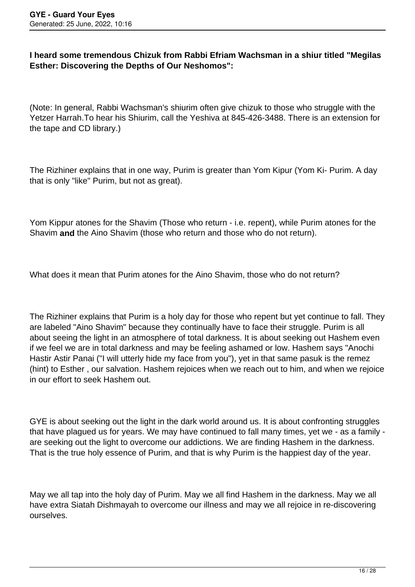# **I heard some tremendous Chizuk from Rabbi Efriam Wachsman in a shiur titled "Megilas Esther: Discovering the Depths of Our Neshomos":**

(Note: In general, Rabbi Wachsman's shiurim often give chizuk to those who struggle with the Yetzer Harrah.To hear his Shiurim, call the Yeshiva at 845-426-3488. There is an extension for the tape and CD library.)

The Rizhiner explains that in one way, Purim is greater than Yom Kipur (Yom Ki- Purim. A day that is only "like" Purim, but not as great).

Yom Kippur atones for the Shavim (Those who return - i.e. repent), while Purim atones for the Shavim **and** the Aino Shavim (those who return and those who do not return).

What does it mean that Purim atones for the Aino Shavim, those who do not return?

The Rizhiner explains that Purim is a holy day for those who repent but yet continue to fall. They are labeled "Aino Shavim" because they continually have to face their struggle. Purim is all about seeing the light in an atmosphere of total darkness. It is about seeking out Hashem even if we feel we are in total darkness and may be feeling ashamed or low. Hashem says "Anochi Hastir Astir Panai ("I will utterly hide my face from you"), yet in that same pasuk is the remez (hint) to Esther , our salvation. Hashem rejoices when we reach out to him, and when we rejoice in our effort to seek Hashem out.

GYE is about seeking out the light in the dark world around us. It is about confronting struggles that have plagued us for years. We may have continued to fall many times, yet we - as a family are seeking out the light to overcome our addictions. We are finding Hashem in the darkness. That is the true holy essence of Purim, and that is why Purim is the happiest day of the year.

May we all tap into the holy day of Purim. May we all find Hashem in the darkness. May we all have extra Siatah Dishmayah to overcome our illness and may we all rejoice in re-discovering ourselves.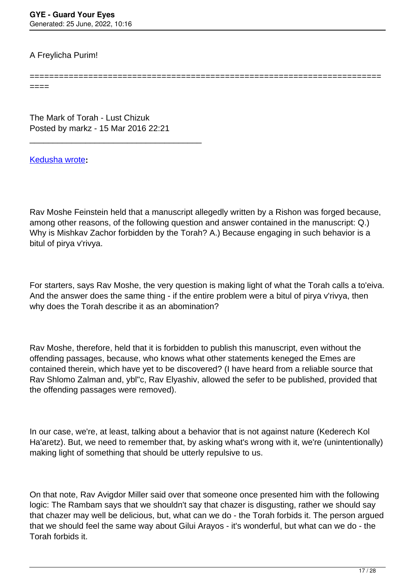# A Freylicha Purim!

====

The Mark of Torah - Lust Chizuk Posted by markz - 15 Mar 2016 22:21

\_\_\_\_\_\_\_\_\_\_\_\_\_\_\_\_\_\_\_\_\_\_\_\_\_\_\_\_\_\_\_\_\_\_\_\_\_

[Kedusha wrote](/forum/id-)**:**

Rav Moshe Feinstein held that a manuscript allegedly written by a Rishon was forged because, among other reasons, of the following question and answer contained in the manuscript: Q.) Why is Mishkav Zachor forbidden by the Torah? A.) Because engaging in such behavior is a bitul of pirya v'rivya.

========================================================================

For starters, says Rav Moshe, the very question is making light of what the Torah calls a to'eiva. And the answer does the same thing - if the entire problem were a bitul of pirya v'rivya, then why does the Torah describe it as an abomination?

Rav Moshe, therefore, held that it is forbidden to publish this manuscript, even without the offending passages, because, who knows what other statements keneged the Emes are contained therein, which have yet to be discovered? (I have heard from a reliable source that Rav Shlomo Zalman and, ybl"c, Rav Elyashiv, allowed the sefer to be published, provided that the offending passages were removed).

In our case, we're, at least, talking about a behavior that is not against nature (Kederech Kol Ha'aretz). But, we need to remember that, by asking what's wrong with it, we're (unintentionally) making light of something that should be utterly repulsive to us.

On that note, Rav Avigdor Miller said over that someone once presented him with the following logic: The Rambam says that we shouldn't say that chazer is disgusting, rather we should say that chazer may well be delicious, but, what can we do - the Torah forbids it. The person argued that we should feel the same way about Gilui Arayos - it's wonderful, but what can we do - the Torah forbids it.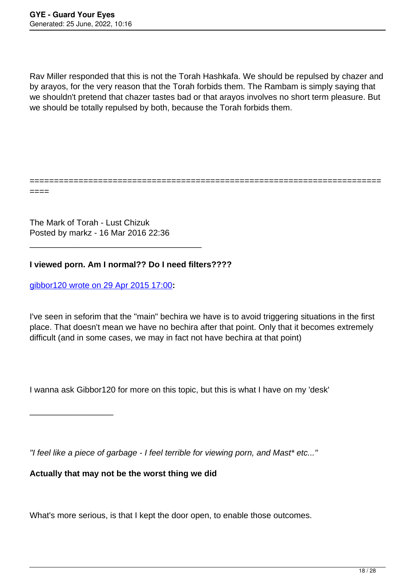Rav Miller responded that this is not the Torah Hashkafa. We should be repulsed by chazer and by arayos, for the very reason that the Torah forbids them. The Rambam is simply saying that we shouldn't pretend that chazer tastes bad or that arayos involves no short term pleasure. But we should be totally repulsed by both, because the Torah forbids them.

========================================================================

====

The Mark of Torah - Lust Chizuk Posted by markz - 16 Mar 2016 22:36

\_\_\_\_\_\_\_\_\_\_\_\_\_\_\_\_\_\_\_\_\_\_\_\_\_\_\_\_\_\_\_\_\_\_\_\_\_

**I viewed porn. Am I normal?? Do I need filters????**

[gibbor120 wrote on 29 Apr 2015 17:00](/forum/id-253405)**:**

\_\_\_\_\_\_\_\_\_\_\_\_\_\_\_\_\_\_

I've seen in seforim that the "main" bechira we have is to avoid triggering situations in the first place. That doesn't mean we have no bechira after that point. Only that it becomes extremely difficult (and in some cases, we may in fact not have bechira at that point)

I wanna ask Gibbor120 for more on this topic, but this is what I have on my 'desk'

"I feel like a piece of garbage - I feel terrible for viewing porn, and Mast\* etc..."

**Actually that may not be the worst thing we did**

What's more serious, is that I kept the door open, to enable those outcomes.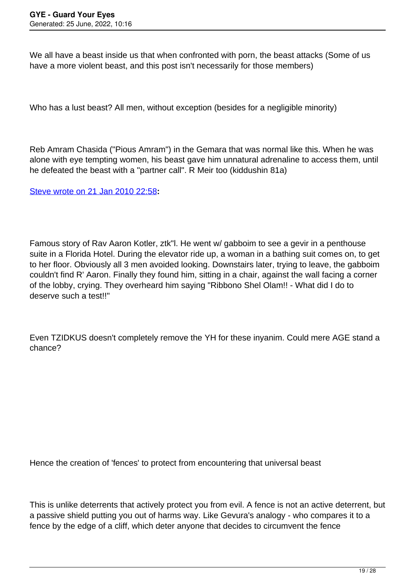We all have a beast inside us that when confronted with porn, the beast attacks (Some of us have a more violent beast, and this post isn't necessarily for those members)

Who has a lust beast? All men, without exception (besides for a negligible minority)

Reb Amram Chasida ("Pious Amram") in the Gemara that was normal like this. When he was alone with eye tempting women, his beast gave him unnatural adrenaline to access them, until he defeated the beast with a "partner call". R Meir too (kiddushin 81a)

[Steve wrote on 21 Jan 2010 22:58](/forum/id-47624)**:**

Famous story of Rav Aaron Kotler, ztk"l. He went w/ gabboim to see a gevir in a penthouse suite in a Florida Hotel. During the elevator ride up, a woman in a bathing suit comes on, to get to her floor. Obviously all 3 men avoided looking. Downstairs later, trying to leave, the gabboim couldn't find R' Aaron. Finally they found him, sitting in a chair, against the wall facing a corner of the lobby, crying. They overheard him saying "Ribbono Shel Olam!! - What did I do to deserve such a test!!"

Even TZIDKUS doesn't completely remove the YH for these inyanim. Could mere AGE stand a chance?

Hence the creation of 'fences' to protect from encountering that universal beast

This is unlike deterrents that actively protect you from evil. A fence is not an active deterrent, but a passive shield putting you out of harms way. Like Gevura's analogy - who compares it to a fence by the edge of a cliff, which deter anyone that decides to circumvent the fence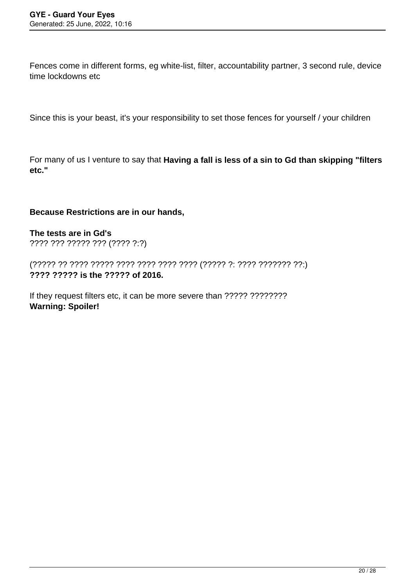Fences come in different forms, eg white-list, filter, accountability partner, 3 second rule, device time lockdowns etc

Since this is your beast, it's your responsibility to set those fences for yourself / your children

For many of us I venture to say that **Having a fall is less of a sin to Gd than skipping "filters etc."**

### **Because Restrictions are in our hands,**

**The tests are in Gd's** ???? ??? ????? ??? (???? ?:?)

(????? ?? ???? ????? ???? ???? ???? ???? (????? ?: ???? ??????? ??:) **???? ????? is the ????? of 2016.**

If they request filters etc, it can be more severe than ????? ???????? **Warning: Spoiler!**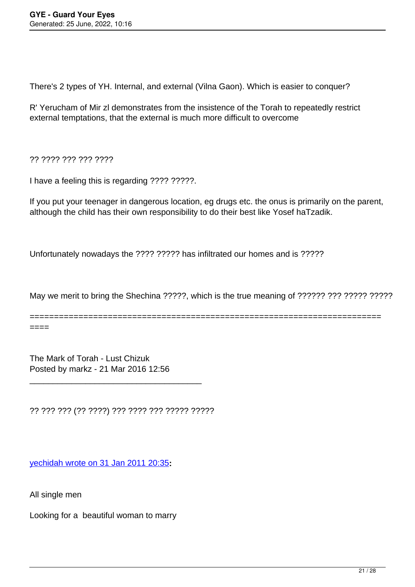There's 2 types of YH. Internal, and external (Vilna Gaon). Which is easier to conquer?

R' Yerucham of Mir zl demonstrates from the insistence of the Torah to repeatedly restrict external temptations, that the external is much more difficult to overcome

?? ???? ??? ??? ????

I have a feeling this is regarding ???? ?????.

If you put your teenager in dangerous location, eg drugs etc. the onus is primarily on the parent, although the child has their own responsibility to do their best like Yosef haTzadik.

Unfortunately nowadays the ???? ????? has infiltrated our homes and is ?????

May we merit to bring the Shechina ?????, which is the true meaning of ?????? ??? ????? ?????

======================================================================== ====

The Mark of Torah - Lust Chizuk Posted by markz - 21 Mar 2016 12:56

?? ??? ??? (?? ????) ??? ???? ??? ????? ?????

\_\_\_\_\_\_\_\_\_\_\_\_\_\_\_\_\_\_\_\_\_\_\_\_\_\_\_\_\_\_\_\_\_\_\_\_\_

[yechidah wrote on 31 Jan 2011 20:35](/forum/id-95105)**:**

All single men

Looking for a beautiful woman to marry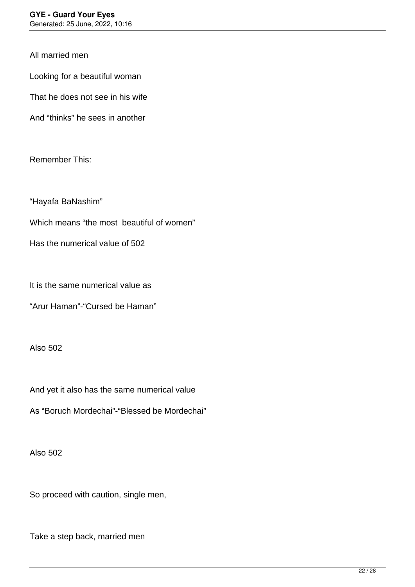All married men

Looking for a beautiful woman

That he does not see in his wife

And "thinks" he sees in another

Remember This:

"Hayafa BaNashim"

Which means "the most beautiful of women"

Has the numerical value of 502

It is the same numerical value as

"Arur Haman"-"Cursed be Haman"

Also 502

And yet it also has the same numerical value

As "Boruch Mordechai"-"Blessed be Mordechai"

Also 502

So proceed with caution, single men,

Take a step back, married men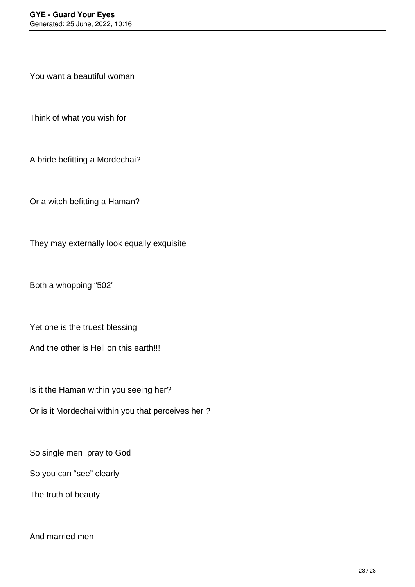You want a beautiful woman

Think of what you wish for

A bride befitting a Mordechai?

Or a witch befitting a Haman?

They may externally look equally exquisite

Both a whopping "502"

Yet one is the truest blessing

And the other is Hell on this earth!!!

Is it the Haman within you seeing her?

Or is it Mordechai within you that perceives her ?

So single men ,pray to God

So you can "see" clearly

The truth of beauty

# And married men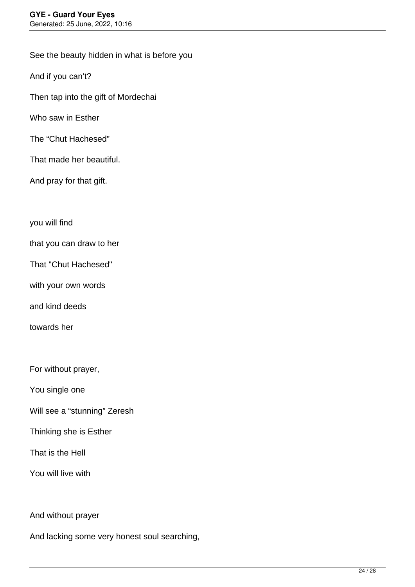See the beauty hidden in what is before you

And if you can't?

Then tap into the gift of Mordechai

Who saw in Esther

The "Chut Hachesed"

That made her beautiful.

And pray for that gift.

you will find

that you can draw to her

That "Chut Hachesed"

with your own words

and kind deeds

towards her

For without prayer,

You single one

Will see a "stunning" Zeresh

Thinking she is Esther

That is the Hell

You will live with

And without prayer

And lacking some very honest soul searching,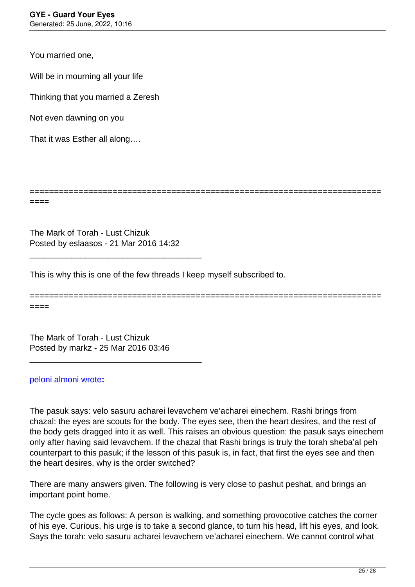You married one,

Will be in mourning all your life

Thinking that you married a Zeresh

Not even dawning on you

That it was Esther all along….

========================================================================

========================================================================

The Mark of Torah - Lust Chizuk Posted by eslaasos - 21 Mar 2016 14:32

\_\_\_\_\_\_\_\_\_\_\_\_\_\_\_\_\_\_\_\_\_\_\_\_\_\_\_\_\_\_\_\_\_\_\_\_\_

This is why this is one of the few threads I keep myself subscribed to.

====

====

The Mark of Torah - Lust Chizuk Posted by markz - 25 Mar 2016 03:46

\_\_\_\_\_\_\_\_\_\_\_\_\_\_\_\_\_\_\_\_\_\_\_\_\_\_\_\_\_\_\_\_\_\_\_\_\_

#### [peloni almoni wrote](/forum/id-237034)**:**

The pasuk says: velo sasuru acharei levavchem ve'acharei einechem. Rashi brings from chazal: the eyes are scouts for the body. The eyes see, then the heart desires, and the rest of the body gets dragged into it as well. This raises an obvious question: the pasuk says einechem only after having said levavchem. If the chazal that Rashi brings is truly the torah sheba'al peh counterpart to this pasuk; if the lesson of this pasuk is, in fact, that first the eyes see and then the heart desires, why is the order switched?

There are many answers given. The following is very close to pashut peshat, and brings an important point home.

The cycle goes as follows: A person is walking, and something provocotive catches the corner of his eye. Curious, his urge is to take a second glance, to turn his head, lift his eyes, and look. Says the torah: velo sasuru acharei levavchem ve'acharei einechem. We cannot control what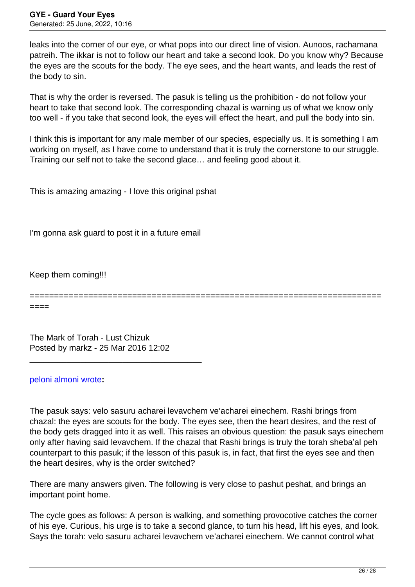leaks into the corner of our eye, or what pops into our direct line of vision. Aunoos, rachamana patreih. The ikkar is not to follow our heart and take a second look. Do you know why? Because the eyes are the scouts for the body. The eye sees, and the heart wants, and leads the rest of the body to sin.

That is why the order is reversed. The pasuk is telling us the prohibition - do not follow your heart to take that second look. The corresponding chazal is warning us of what we know only too well - if you take that second look, the eyes will effect the heart, and pull the body into sin.

I think this is important for any male member of our species, especially us. It is something I am working on myself, as I have come to understand that it is truly the cornerstone to our struggle. Training our self not to take the second glace… and feeling good about it.

This is amazing amazing - I love this original pshat

I'm gonna ask guard to post it in a future email

Keep them coming!!!

========================================================================

====

The Mark of Torah - Lust Chizuk Posted by markz - 25 Mar 2016 12:02

\_\_\_\_\_\_\_\_\_\_\_\_\_\_\_\_\_\_\_\_\_\_\_\_\_\_\_\_\_\_\_\_\_\_\_\_\_

#### [peloni almoni wrote](/forum/id-237034)**:**

The pasuk says: velo sasuru acharei levavchem ve'acharei einechem. Rashi brings from chazal: the eyes are scouts for the body. The eyes see, then the heart desires, and the rest of the body gets dragged into it as well. This raises an obvious question: the pasuk says einechem only after having said levavchem. If the chazal that Rashi brings is truly the torah sheba'al peh counterpart to this pasuk; if the lesson of this pasuk is, in fact, that first the eyes see and then the heart desires, why is the order switched?

There are many answers given. The following is very close to pashut peshat, and brings an important point home.

The cycle goes as follows: A person is walking, and something provocotive catches the corner of his eye. Curious, his urge is to take a second glance, to turn his head, lift his eyes, and look. Says the torah: velo sasuru acharei levavchem ve'acharei einechem. We cannot control what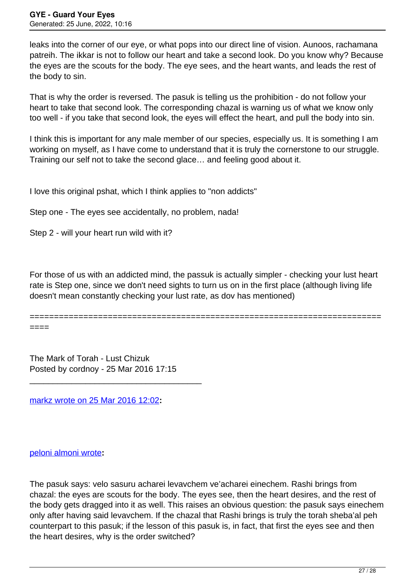leaks into the corner of our eye, or what pops into our direct line of vision. Aunoos, rachamana patreih. The ikkar is not to follow our heart and take a second look. Do you know why? Because the eyes are the scouts for the body. The eye sees, and the heart wants, and leads the rest of the body to sin.

That is why the order is reversed. The pasuk is telling us the prohibition - do not follow your heart to take that second look. The corresponding chazal is warning us of what we know only too well - if you take that second look, the eyes will effect the heart, and pull the body into sin.

I think this is important for any male member of our species, especially us. It is something I am working on myself, as I have come to understand that it is truly the cornerstone to our struggle. Training our self not to take the second glace… and feeling good about it.

I love this original pshat, which I think applies to "non addicts"

Step one - The eyes see accidentally, no problem, nada!

Step 2 - will your heart run wild with it?

For those of us with an addicted mind, the passuk is actually simpler - checking your lust heart rate is Step one, since we don't need sights to turn us on in the first place (although living life doesn't mean constantly checking your lust rate, as dov has mentioned)

======================================================================== ====

The Mark of Torah - Lust Chizuk Posted by cordnoy - 25 Mar 2016 17:15

\_\_\_\_\_\_\_\_\_\_\_\_\_\_\_\_\_\_\_\_\_\_\_\_\_\_\_\_\_\_\_\_\_\_\_\_\_

[markz wrote on 25 Mar 2016 12:02](/forum/id-282481)**:**

[peloni almoni wrote](/forum/id-237034)**:**

The pasuk says: velo sasuru acharei levavchem ve'acharei einechem. Rashi brings from chazal: the eyes are scouts for the body. The eyes see, then the heart desires, and the rest of the body gets dragged into it as well. This raises an obvious question: the pasuk says einechem only after having said levavchem. If the chazal that Rashi brings is truly the torah sheba'al peh counterpart to this pasuk; if the lesson of this pasuk is, in fact, that first the eyes see and then the heart desires, why is the order switched?